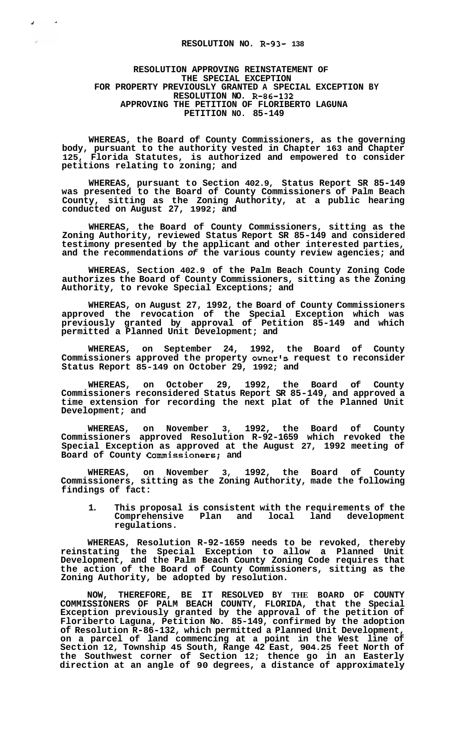## **RESOLUTION NO. R-93- 138**

## **RESOLUTION APPROVING REINSTATEMENT OF THE SPECIAL EXCEPTION FOR PROPERTY PREVIOUSLY GRANTED A SPECIAL EXCEPTION BY RESOLUTION NO. R-86-132 APPROVING THE PETITION OF FLORIBERTO LAGUNA PETITION NO. 85-149**

**WHEREAS, the Board of County Commissioners, as the governing body, pursuant to the authority vested in Chapter 163 and Chapter 125, Florida Statutes, is authorized and empowered to consider petitions relating to zoning; and** 

**WHEREAS, pursuant to Section 402.9, Status Report SR 85-149 was presented to the Board of County Commissioners of Palm Beach County, sitting as the Zoning Authority, at a public hearing conducted on August 27, 1992; and** 

**WHEREAS, the Board of County Commissioners, sitting as the Zoning Authority, reviewed Status Report SR 85-149 and considered testimony presented by the applicant and other interested parties, and the recommendations** *of* **the various county review agencies; and** 

**WHEREAS, Section 402.9 of the Palm Beach County Zoning Code authorizes the Board of County Commissioners, sitting as the Zoning Authority, to revoke Special Exceptions; and** 

**WHEREAS, on August 27, 1992, the Board of County Commissioners approved the revocation of the Special Exception which was previously granted by approval of Petition 85-149 and which permitted a Planned Unit Development; and** 

**WHEREAS, on September 24, 1992, the Board of County Commissioners approved the property owner's request to reconsider Status Report 85-149 on October 29, 1992; and** 

**WHEREAS, on October 29, 1992, the Board of County Commissioners reconsidered Status Report SR 85-149, and approved a time extension for recording the next plat of the Planned Unit Development; and** 

**WHEREAS, on November 3, 1992, the Board of County Commissioners approved Resolution R-92-1659 which revoked the Special Exception as approved at the August 27, 1992 meeting of Board of County Commissioners; and** 

**WHEREAS, on November 3, 1992, the Board of County Commissioners, sitting as the Zoning Authority, made the following findings of fact:** 

**1. This proposal is consistent with the requirements of the**  Comprehensive Plan and local **regulations.** 

**WHEREAS, Resolution R-92-1659 needs to be revoked, thereby reinstating the Special Exception to allow a Planned Unit Development, and the Palm Beach County Zoning Code requires that the action of the Board of County Commissioners, sitting as the Zoning Authority, be adopted by resolution.** 

**NOW, THEREFORE, BE IT RESOLVED BY THE BOARD OF COUNTY COMMISSIONERS OF PALM BEACH COUNTY, FLORIDA, that the Special Exception previously granted by the approval of the petition of Floriberto Laguna, Petition No. 85-149, confirmed by the adoption of Resolution R-86-132, which permitted a Planned Unit Development, on a parcel of land commencing at a point in the West line of Section 12, Township 45 South, Range 42 East, 904.25 feet North of the Southwest corner of Section 12; thence go in an Easterly direction at an angle of 90 degrees, a distance of approximately**